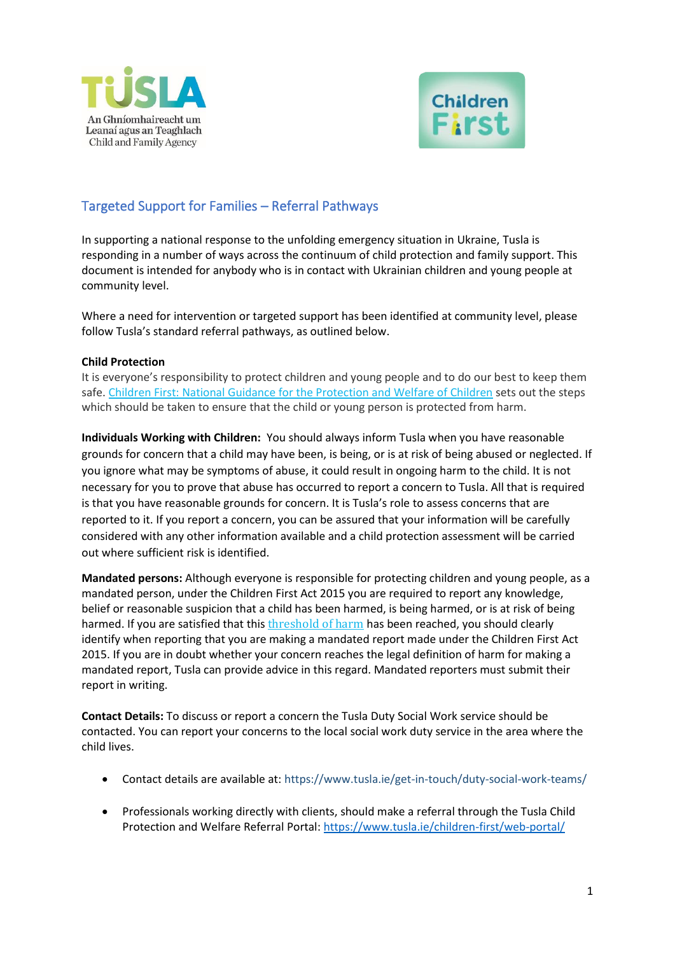



# Targeted Support for Families – Referral Pathways

In supporting a national response to the unfolding emergency situation in Ukraine, Tusla is responding in a number of ways across the continuum of child protection and family support. This document is intended for anybody who is in contact with Ukrainian children and young people at community level.

Where a need for intervention or targeted support has been identified at community level, please follow Tusla's standard referral pathways, as outlined below.

### **Child Protection**

It is everyone's responsibility to protect children and young people and to do our best to keep them safe. [Children First: National Guidance for the Protection and Welfare of Children](https://www.tusla.ie/uploads/content/Children_First_National_Guidance_2017.pdf) sets out the steps which should be taken to ensure that the child or young person is protected from harm.

**Individuals Working with Children:** You should always inform Tusla when you have reasonable grounds for concern that a child may have been, is being, or is at risk of being abused or neglected. If you ignore what may be symptoms of abuse, it could result in ongoing harm to the child. It is not necessary for you to prove that abuse has occurred to report a concern to Tusla. All that is required is that you have reasonable grounds for concern. It is Tusla's role to assess concerns that are reported to it. If you report a concern, you can be assured that your information will be carefully considered with any other information available and a child protection assessment will be carried out where sufficient risk is identified.

**Mandated persons:** Although everyone is responsible for protecting children and young people, as a mandated person, under the Children First Act 2015 you are required to report any knowledge, belief or reasonable suspicion that a child has been harmed, is being harmed, or is at risk of being harmed. If you are satisfied that this [threshold of harm](http://www.tusla.ie/children-first/mandated-persons/what-are-the-thresholds-for-making-a-mandated-report/) has been reached, you should clearly identify when reporting that you are making a mandated report made under the Children First Act 2015. If you are in doubt whether your concern reaches the legal definition of harm for making a mandated report, Tusla can provide advice in this regard. Mandated reporters must submit their report in writing.

**Contact Details:** To discuss or report a concern the Tusla Duty Social Work service should be contacted. You can report your concerns to the local social work duty service in the area where the child lives.

- Contact details are available at:<https://www.tusla.ie/get-in-touch/duty-social-work-teams/>
- Professionals working directly with clients, should make a referral through the Tusla Child Protection and Welfare Referral Portal: <https://www.tusla.ie/children-first/web-portal/>